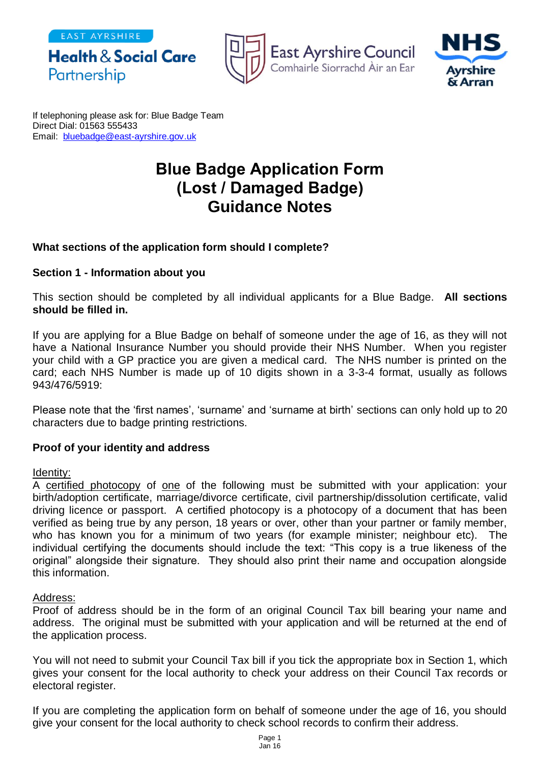EAST AYRSHIRE







If telephoning please ask for: Blue Badge Team Direct Dial: 01563 555433 Email: [bluebadge@east-ayrshire.gov.uk](mailto:bluebadge@east-ayrshire.gcsx.gov.uk)

# **Blue Badge Application Form (Lost / Damaged Badge) Guidance Notes**

# **What sections of the application form should I complete?**

## **Section 1 - Information about you**

This section should be completed by all individual applicants for a Blue Badge. **All sections should be filled in.**

If you are applying for a Blue Badge on behalf of someone under the age of 16, as they will not have a National Insurance Number you should provide their NHS Number. When you register your child with a GP practice you are given a medical card. The NHS number is printed on the card; each NHS Number is made up of 10 digits shown in a 3-3-4 format, usually as follows 943/476/5919:

Please note that the 'first names', 'surname' and 'surname at birth' sections can only hold up to 20 characters due to badge printing restrictions.

## **Proof of your identity and address**

#### Identity:

A certified photocopy of one of the following must be submitted with your application: your birth/adoption certificate, marriage/divorce certificate, civil partnership/dissolution certificate, valid driving licence or passport. A certified photocopy is a photocopy of a document that has been verified as being true by any person, 18 years or over, other than your partner or family member, who has known you for a minimum of two years (for example minister; neighbour etc). The individual certifying the documents should include the text: "This copy is a true likeness of the original" alongside their signature. They should also print their name and occupation alongside this information.

## Address:

Proof of address should be in the form of an original Council Tax bill bearing your name and address. The original must be submitted with your application and will be returned at the end of the application process.

You will not need to submit your Council Tax bill if you tick the appropriate box in Section 1, which gives your consent for the local authority to check your address on their Council Tax records or electoral register.

If you are completing the application form on behalf of someone under the age of 16, you should give your consent for the local authority to check school records to confirm their address.